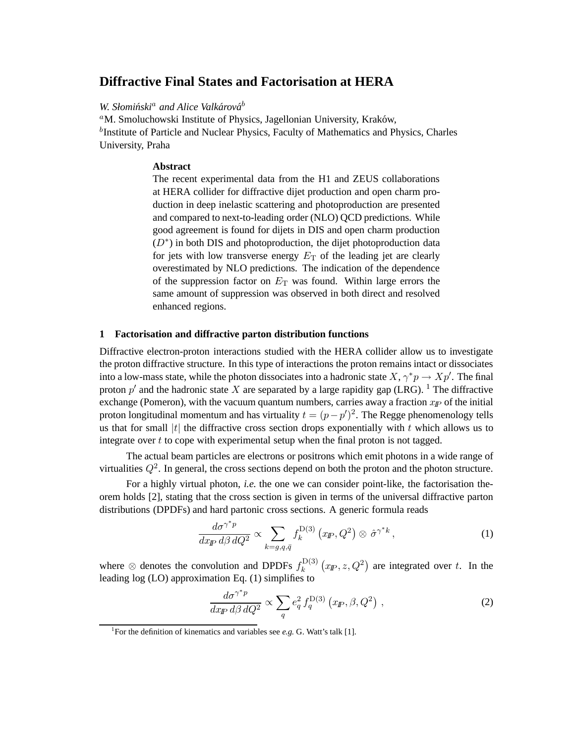# **Diffractive Final States and Factorisation at HERA**

## *W. Słomiński<sup>a</sup> and Alice Valkárová*<sup>b</sup>

<sup>a</sup>M. Smoluchowski Institute of Physics, Jagellonian University, Kraków, <sup>b</sup>Institute of Particle and Nuclear Physics, Faculty of Mathematics and Physics, Charles University, Praha

### **Abstract**

The recent experimental data from the H1 and ZEUS collaborations at HERA collider for diffractive dijet production and open charm production in deep inelastic scattering and photoproduction are presented and compared to next-to-leading order (NLO) QCD predictions. While good agreement is found for dijets in DIS and open charm production  $(D^*)$  in both DIS and photoproduction, the dijet photoproduction data for jets with low transverse energy  $E_T$  of the leading jet are clearly overestimated by NLO predictions. The indication of the dependence of the suppression factor on  $E_T$  was found. Within large errors the same amount of suppression was observed in both direct and resolved enhanced regions.

#### **1 Factorisation and diffractive parton distribution functions**

Diffractive electron-proton interactions studied with the HERA collider allow us to investigate the proton diffractive structure. In this type of interactions the proton remains intact or dissociates into a low-mass state, while the photon dissociates into a hadronic state  $X, \gamma^*p \to Xp'$ . The final proton  $p'$  and the hadronic state X are separated by a large rapidity gap (LRG). <sup>1</sup> The diffractive exchange (Pomeron), with the vacuum quantum numbers, carries away a fraction  $x_p$  of the initial proton longitudinal momentum and has virtuality  $t = (p - p')^2$ . The Regge phenomenology tells us that for small  $|t|$  the diffractive cross section drops exponentially with t which allows us to integrate over  $t$  to cope with experimental setup when the final proton is not tagged.

The actual beam particles are electrons or positrons which emit photons in a wide range of virtualities  $Q^2$ . In general, the cross sections depend on both the proton and the photon structure.

For a highly virtual photon, *i.e.* the one we can consider point-like, the factorisation theorem holds [2], stating that the cross section is given in terms of the universal diffractive parton distributions (DPDFs) and hard partonic cross sections. A generic formula reads

$$
\frac{d\sigma^{\gamma^*p}}{dx_{\mathbb{P}} d\beta dQ^2} \propto \sum_{k=g,q,\bar{q}} f_k^{\mathcal{D}(3)}(x_{\mathbb{P}}, Q^2) \otimes \hat{\sigma}^{\gamma^*k},\tag{1}
$$

where  $\otimes$  denotes the convolution and DPDFs  $f_k^{\mathrm{D}(3)}$  $\int_k^{D(3)} (x_P, z, Q^2)$  are integrated over t. In the leading log (LO) approximation Eq. (1) simplifies to

$$
\frac{d\sigma^{\gamma^*p}}{dx_{\mathbb{P}} d\beta dQ^2} \propto \sum_q e_q^2 f_q^{\mathcal{D}(3)}(x_{\mathbb{P}}, \beta, Q^2) , \qquad (2)
$$

<sup>&</sup>lt;sup>1</sup>For the definition of kinematics and variables see *e.g.* G. Watt's talk [1].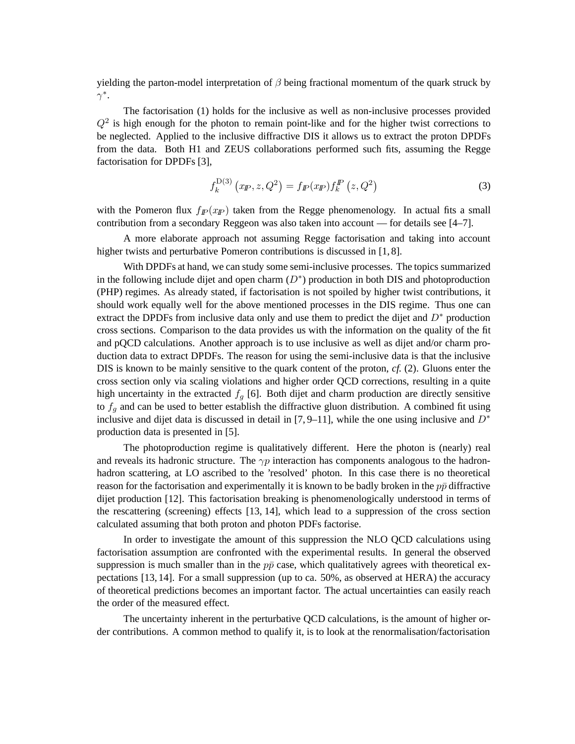yielding the parton-model interpretation of  $\beta$  being fractional momentum of the quark struck by .<br>γ\*.

The factorisation (1) holds for the inclusive as well as non-inclusive processes provided  $Q<sup>2</sup>$  is high enough for the photon to remain point-like and for the higher twist corrections to be neglected. Applied to the inclusive diffractive DIS it allows us to extract the proton DPDFs from the data. Both H1 and ZEUS collaborations performed such fits, assuming the Regge factorisation for DPDFs [3],

$$
f_k^{\mathcal{D}(3)}(x_{\mathcal{P}}, z, Q^2) = f_{\mathcal{P}}(x_{\mathcal{P}}) f_k^{\mathcal{P}}(z, Q^2)
$$
 (3)

with the Pomeron flux  $f_p(x_p)$  taken from the Regge phenomenology. In actual fits a small contribution from a secondary Reggeon was also taken into account — for details see [4–7].

A more elaborate approach not assuming Regge factorisation and taking into account higher twists and perturbative Pomeron contributions is discussed in [1, 8].

With DPDFs at hand, we can study some semi-inclusive processes. The topics summarized in the following include dijet and open charm  $(D^*)$  production in both DIS and photoproduction (PHP) regimes. As already stated, if factorisation is not spoiled by higher twist contributions, it should work equally well for the above mentioned processes in the DIS regime. Thus one can extract the DPDFs from inclusive data only and use them to predict the dijet and  $D^*$  production cross sections. Comparison to the data provides us with the information on the quality of the fit and pQCD calculations. Another approach is to use inclusive as well as dijet and/or charm production data to extract DPDFs. The reason for using the semi-inclusive data is that the inclusive DIS is known to be mainly sensitive to the quark content of the proton, *cf.* (2). Gluons enter the cross section only via scaling violations and higher order QCD corrections, resulting in a quite high uncertainty in the extracted  $f_q$  [6]. Both dijet and charm production are directly sensitive to  $f_q$  and can be used to better establish the diffractive gluon distribution. A combined fit using inclusive and dijet data is discussed in detail in [7,9–11], while the one using inclusive and  $D^*$ production data is presented in [5].

The photoproduction regime is qualitatively different. Here the photon is (nearly) real and reveals its hadronic structure. The  $\gamma p$  interaction has components analogous to the hadronhadron scattering, at LO ascribed to the 'resolved' photon. In this case there is no theoretical reason for the factorisation and experimentally it is known to be badly broken in the  $p\bar{p}$  diffractive dijet production [12]. This factorisation breaking is phenomenologically understood in terms of the rescattering (screening) effects [13, 14], which lead to a suppression of the cross section calculated assuming that both proton and photon PDFs factorise.

In order to investigate the amount of this suppression the NLO QCD calculations using factorisation assumption are confronted with the experimental results. In general the observed suppression is much smaller than in the  $p\bar{p}$  case, which qualitatively agrees with theoretical expectations [13, 14]. For a small suppression (up to ca. 50%, as observed at HERA) the accuracy of theoretical predictions becomes an important factor. The actual uncertainties can easily reach the order of the measured effect.

The uncertainty inherent in the perturbative QCD calculations, is the amount of higher order contributions. A common method to qualify it, is to look at the renormalisation/factorisation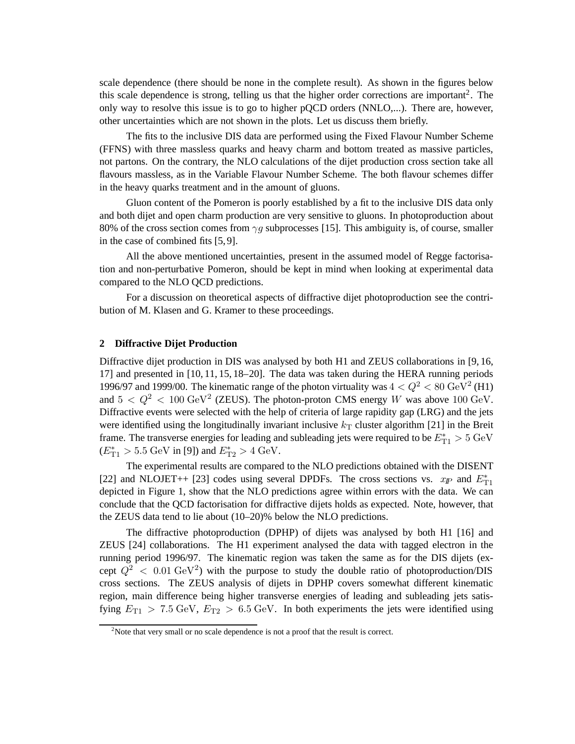scale dependence (there should be none in the complete result). As shown in the figures below this scale dependence is strong, telling us that the higher order corrections are important<sup>2</sup>. The only way to resolve this issue is to go to higher pQCD orders (NNLO,...). There are, however, other uncertainties which are not shown in the plots. Let us discuss them briefly.

The fits to the inclusive DIS data are performed using the Fixed Flavour Number Scheme (FFNS) with three massless quarks and heavy charm and bottom treated as massive particles, not partons. On the contrary, the NLO calculations of the dijet production cross section take all flavours massless, as in the Variable Flavour Number Scheme. The both flavour schemes differ in the heavy quarks treatment and in the amount of gluons.

Gluon content of the Pomeron is poorly established by a fit to the inclusive DIS data only and both dijet and open charm production are very sensitive to gluons. In photoproduction about 80% of the cross section comes from  $\gamma q$  subprocesses [15]. This ambiguity is, of course, smaller in the case of combined fits [5, 9].

All the above mentioned uncertainties, present in the assumed model of Regge factorisation and non-perturbative Pomeron, should be kept in mind when looking at experimental data compared to the NLO QCD predictions.

For a discussion on theoretical aspects of diffractive dijet photoproduction see the contribution of M. Klasen and G. Kramer to these proceedings.

### **2 Diffractive Dijet Production**

Diffractive dijet production in DIS was analysed by both H1 and ZEUS collaborations in [9, 16, 17] and presented in [10, 11, 15, 18–20]. The data was taken during the HERA running periods 1996/97 and 1999/00. The kinematic range of the photon virtuality was  $4 < Q^2 < 80 \text{ GeV}^2$  (H1) and  $5 < Q^2 < 100 \text{ GeV}^2$  (ZEUS). The photon-proton CMS energy W was above 100 GeV. Diffractive events were selected with the help of criteria of large rapidity gap (LRG) and the jets were identified using the longitudinally invariant inclusive  $k<sub>T</sub>$  cluster algorithm [21] in the Breit frame. The transverse energies for leading and subleading jets were required to be  $E_{\text{T1}}^{*} > 5 \text{ GeV}$  $(E_{\text{T1}}^{*} > 5.5 \text{ GeV in [9]) and } E_{\text{T2}}^{*} > 4 \text{ GeV}.$ 

The experimental results are compared to the NLO predictions obtained with the DISENT [22] and NLOJET++ [23] codes using several DPDFs. The cross sections vs.  $x_{I\!\!P}$  and  $E_{T1}^*$ depicted in Figure 1, show that the NLO predictions agree within errors with the data. We can conclude that the QCD factorisation for diffractive dijets holds as expected. Note, however, that the ZEUS data tend to lie about (10–20)% below the NLO predictions.

The diffractive photoproduction (DPHP) of dijets was analysed by both H1 [16] and ZEUS [24] collaborations. The H1 experiment analysed the data with tagged electron in the running period 1996/97. The kinematic region was taken the same as for the DIS dijets (except  $Q^2$  < 0.01 GeV<sup>2</sup>) with the purpose to study the double ratio of photoproduction/DIS cross sections. The ZEUS analysis of dijets in DPHP covers somewhat different kinematic region, main difference being higher transverse energies of leading and subleading jets satisfying  $E_{T1} > 7.5$  GeV,  $E_{T2} > 6.5$  GeV. In both experiments the jets were identified using

 $2^2$ Note that very small or no scale dependence is not a proof that the result is correct.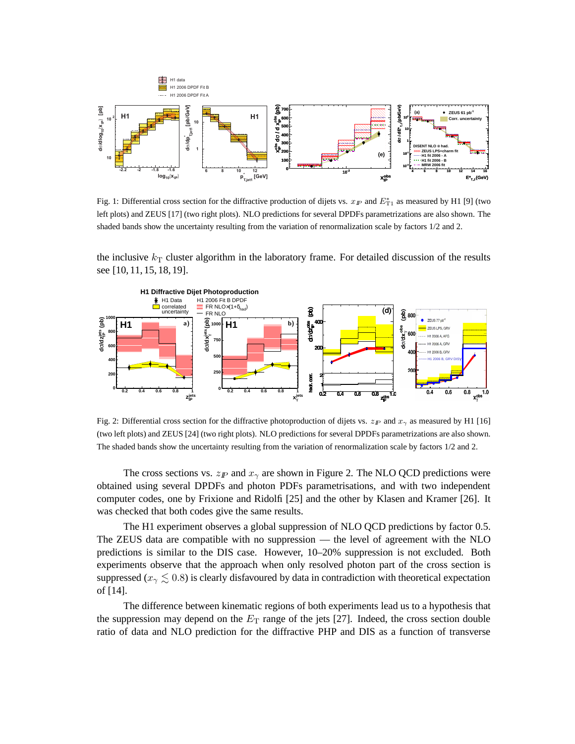

Fig. 1: Differential cross section for the diffractive production of dijets vs.  $x_F$  and  $E_{T1}^*$  as measured by H1 [9] (two left plots) and ZEUS [17] (two right plots). NLO predictions for several DPDFs parametrizations are also shown. The shaded bands show the uncertainty resulting from the variation of renormalization scale by factors 1/2 and 2.

the inclusive  $k_T$  cluster algorithm in the laboratory frame. For detailed discussion of the results see [10, 11, 15, 18, 19].



Fig. 2: Differential cross section for the diffractive photoproduction of dijets vs.  $z_p$  and  $x_\gamma$  as measured by H1 [16] (two left plots) and ZEUS [24] (two right plots). NLO predictions for several DPDFs parametrizations are also shown. The shaded bands show the uncertainty resulting from the variation of renormalization scale by factors 1/2 and 2.

The cross sections vs.  $z_p$  and  $x_\gamma$  are shown in Figure 2. The NLO QCD predictions were obtained using several DPDFs and photon PDFs parametrisations, and with two independent computer codes, one by Frixione and Ridolfi [25] and the other by Klasen and Kramer [26]. It was checked that both codes give the same results.

The H1 experiment observes a global suppression of NLO QCD predictions by factor 0.5. The ZEUS data are compatible with no suppression — the level of agreement with the NLO predictions is similar to the DIS case. However, 10–20% suppression is not excluded. Both experiments observe that the approach when only resolved photon part of the cross section is suppressed ( $x<sub>\gamma</sub> \leq 0.8$ ) is clearly disfavoured by data in contradiction with theoretical expectation of [14].

The difference between kinematic regions of both experiments lead us to a hypothesis that the suppression may depend on the  $E<sub>T</sub>$  range of the jets [27]. Indeed, the cross section double ratio of data and NLO prediction for the diffractive PHP and DIS as a function of transverse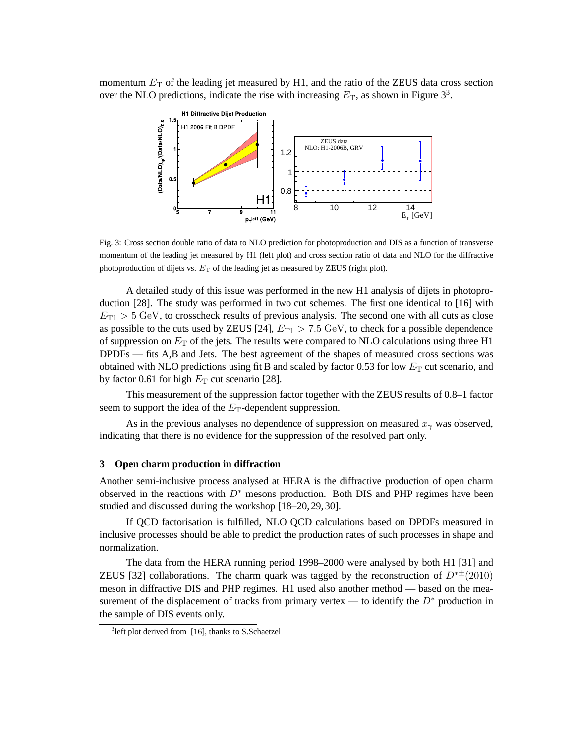momentum  $E<sub>T</sub>$  of the leading jet measured by H1, and the ratio of the ZEUS data cross section over the NLO predictions, indicate the rise with increasing  $E_T$ , as shown in Figure 3<sup>3</sup>.



Fig. 3: Cross section double ratio of data to NLO prediction for photoproduction and DIS as a function of transverse momentum of the leading jet measured by H1 (left plot) and cross section ratio of data and NLO for the diffractive photoproduction of dijets vs.  $E_T$  of the leading jet as measured by ZEUS (right plot).

A detailed study of this issue was performed in the new H1 analysis of dijets in photoproduction [28]. The study was performed in two cut schemes. The first one identical to [16] with  $E_{\text{T1}} > 5$  GeV, to crosscheck results of previous analysis. The second one with all cuts as close as possible to the cuts used by ZEUS [24],  $E_{T1} > 7.5$  GeV, to check for a possible dependence of suppression on  $E_T$  of the jets. The results were compared to NLO calculations using three H1 DPDFs — fits A,B and Jets. The best agreement of the shapes of measured cross sections was obtained with NLO predictions using fit B and scaled by factor 0.53 for low  $E_T$  cut scenario, and by factor 0.61 for high  $E_T$  cut scenario [28].

This measurement of the suppression factor together with the ZEUS results of 0.8–1 factor seem to support the idea of the  $E<sub>T</sub>$ -dependent suppression.

As in the previous analyses no dependence of suppression on measured  $x<sub>γ</sub>$  was observed, indicating that there is no evidence for the suppression of the resolved part only.

## **3 Open charm production in diffraction**

Another semi-inclusive process analysed at HERA is the diffractive production of open charm observed in the reactions with  $D^*$  mesons production. Both DIS and PHP regimes have been studied and discussed during the workshop [18–20, 29, 30].

If QCD factorisation is fulfilled, NLO QCD calculations based on DPDFs measured in inclusive processes should be able to predict the production rates of such processes in shape and normalization.

The data from the HERA running period 1998–2000 were analysed by both H1 [31] and ZEUS [32] collaborations. The charm quark was tagged by the reconstruction of  $D^{*+}(2010)$ meson in diffractive DIS and PHP regimes. H1 used also another method — based on the measurement of the displacement of tracks from primary vertex — to identify the  $D^*$  production in the sample of DIS events only.

<sup>&</sup>lt;sup>3</sup> left plot derived from [16], thanks to S.Schaetzel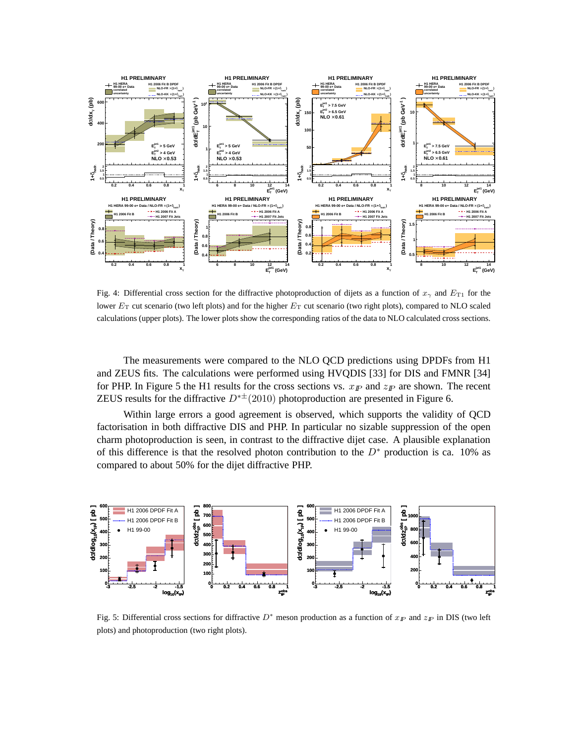

Fig. 4: Differential cross section for the diffractive photoproduction of dijets as a function of  $x<sub>\gamma</sub>$  and  $E<sub>T1</sub>$  for the lower  $E_T$  cut scenario (two left plots) and for the higher  $E_T$  cut scenario (two right plots), compared to NLO scaled calculations (upper plots). The lower plots show the corresponding ratios of the data to NLO calculated cross sections.

The measurements were compared to the NLO QCD predictions using DPDFs from H1 and ZEUS fits. The calculations were performed using HVQDIS [33] for DIS and FMNR [34] for PHP. In Figure 5 the H1 results for the cross sections vs.  $x_{\text{F}}$  and  $z_{\text{F}}$  are shown. The recent ZEUS results for the diffractive  $D^{*+}(2010)$  photoproduction are presented in Figure 6.

Within large errors a good agreement is observed, which supports the validity of QCD factorisation in both diffractive DIS and PHP. In particular no sizable suppression of the open charm photoproduction is seen, in contrast to the diffractive dijet case. A plausible explanation of this difference is that the resolved photon contribution to the  $D^*$  production is ca. 10% as compared to about 50% for the dijet diffractive PHP.



Fig. 5: Differential cross sections for diffractive  $D^*$  meson production as a function of  $x_{I\!\!P}$  and  $z_{I\!\!P}$  in DIS (two left plots) and photoproduction (two right plots).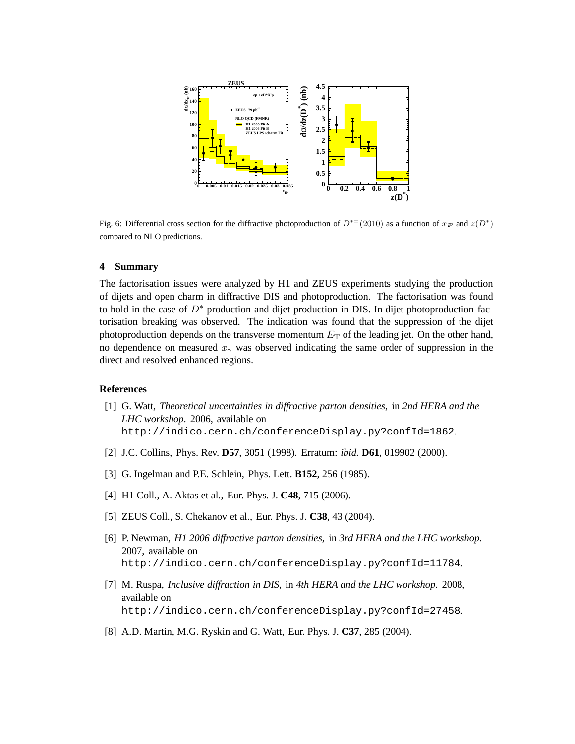

Fig. 6: Differential cross section for the diffractive photoproduction of  $D^{*\pm}$  (2010) as a function of  $x_{I\!\!P}$  and  $z(D^*)$ compared to NLO predictions.

#### **4 Summary**

The factorisation issues were analyzed by H1 and ZEUS experiments studying the production of dijets and open charm in diffractive DIS and photoproduction. The factorisation was found to hold in the case of  $D^*$  production and dijet production in DIS. In dijet photoproduction factorisation breaking was observed. The indication was found that the suppression of the dijet photoproduction depends on the transverse momentum  $E<sub>T</sub>$  of the leading jet. On the other hand, no dependence on measured  $x_{\gamma}$  was observed indicating the same order of suppression in the direct and resolved enhanced regions.

#### **References**

- [1] G. Watt, *Theoretical uncertainties in diffractive parton densities*, in *2nd HERA and the LHC workshop*. 2006, available on http://indico.cern.ch/conferenceDisplay.py?confId=1862.
- [2] J.C. Collins, Phys. Rev. **D57**, 3051 (1998). Erratum: *ibid.* **D61**, 019902 (2000).
- [3] G. Ingelman and P.E. Schlein, Phys. Lett. **B152**, 256 (1985).
- [4] H1 Coll., A. Aktas et al., Eur. Phys. J. **C48**, 715 (2006).
- [5] ZEUS Coll., S. Chekanov et al., Eur. Phys. J. **C38**, 43 (2004).
- [6] P. Newman, *H1 2006 diffractive parton densities*, in *3rd HERA and the LHC workshop*. 2007, available on http://indico.cern.ch/conferenceDisplay.py?confId=11784.
- [7] M. Ruspa, *Inclusive diffraction in DIS*, in *4th HERA and the LHC workshop*. 2008, available on http://indico.cern.ch/conferenceDisplay.py?confId=27458.
- [8] A.D. Martin, M.G. Ryskin and G. Watt, Eur. Phys. J. **C37**, 285 (2004).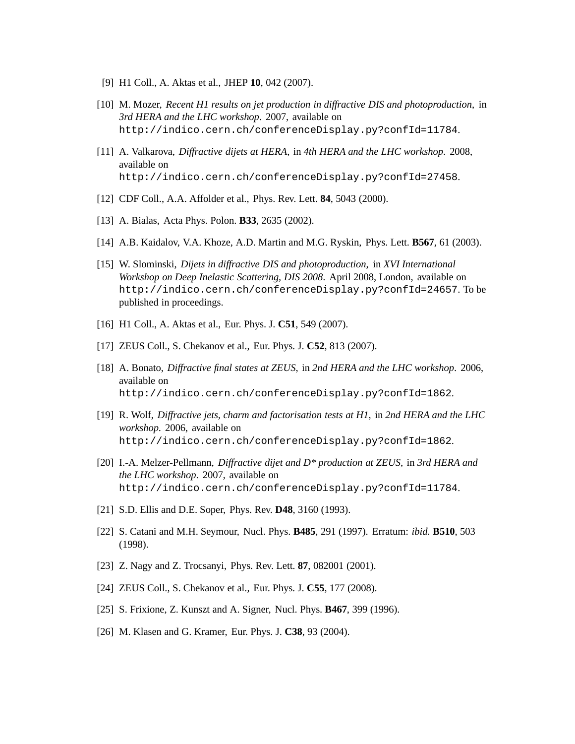- [9] H1 Coll., A. Aktas et al., JHEP **10**, 042 (2007).
- [10] M. Mozer, *Recent H1 results on jet production in diffractive DIS and photoproduction*, in *3rd HERA and the LHC workshop*. 2007, available on http://indico.cern.ch/conferenceDisplay.py?confId=11784.
- [11] A. Valkarova, *Diffractive dijets at HERA*, in *4th HERA and the LHC workshop*. 2008, available on http://indico.cern.ch/conferenceDisplay.py?confId=27458.
- [12] CDF Coll., A.A. Affolder et al., Phys. Rev. Lett. **84**, 5043 (2000).
- [13] A. Bialas, Acta Phys. Polon. **B33**, 2635 (2002).
- [14] A.B. Kaidalov, V.A. Khoze, A.D. Martin and M.G. Ryskin, Phys. Lett. **B567**, 61 (2003).
- [15] W. Slominski, *Dijets in diffractive DIS and photoproduction*, in *XVI International Workshop on Deep Inelastic Scattering, DIS 2008*. April 2008, London, available on http://indico.cern.ch/conferenceDisplay.py?confId=24657. To be published in proceedings.
- [16] H1 Coll., A. Aktas et al., Eur. Phys. J. **C51**, 549 (2007).
- [17] ZEUS Coll., S. Chekanov et al., Eur. Phys. J. **C52**, 813 (2007).
- [18] A. Bonato, *Diffractive final states at ZEUS*, in *2nd HERA and the LHC workshop*. 2006, available on http://indico.cern.ch/conferenceDisplay.py?confId=1862.
- [19] R. Wolf, *Diffractive jets, charm and factorisation tests at H1*, in *2nd HERA and the LHC workshop*. 2006, available on http://indico.cern.ch/conferenceDisplay.py?confId=1862.
- [20] I.-A. Melzer-Pellmann, *Diffractive dijet and D\* production at ZEUS*, in *3rd HERA and the LHC workshop*. 2007, available on http://indico.cern.ch/conferenceDisplay.py?confId=11784.
- [21] S.D. Ellis and D.E. Soper, Phys. Rev. **D48**, 3160 (1993).
- [22] S. Catani and M.H. Seymour, Nucl. Phys. **B485**, 291 (1997). Erratum: *ibid.* **B510**, 503 (1998).
- [23] Z. Nagy and Z. Trocsanyi, Phys. Rev. Lett. **87**, 082001 (2001).
- [24] ZEUS Coll., S. Chekanov et al., Eur. Phys. J. **C55**, 177 (2008).
- [25] S. Frixione, Z. Kunszt and A. Signer, Nucl. Phys. **B467**, 399 (1996).
- [26] M. Klasen and G. Kramer, Eur. Phys. J. **C38**, 93 (2004).